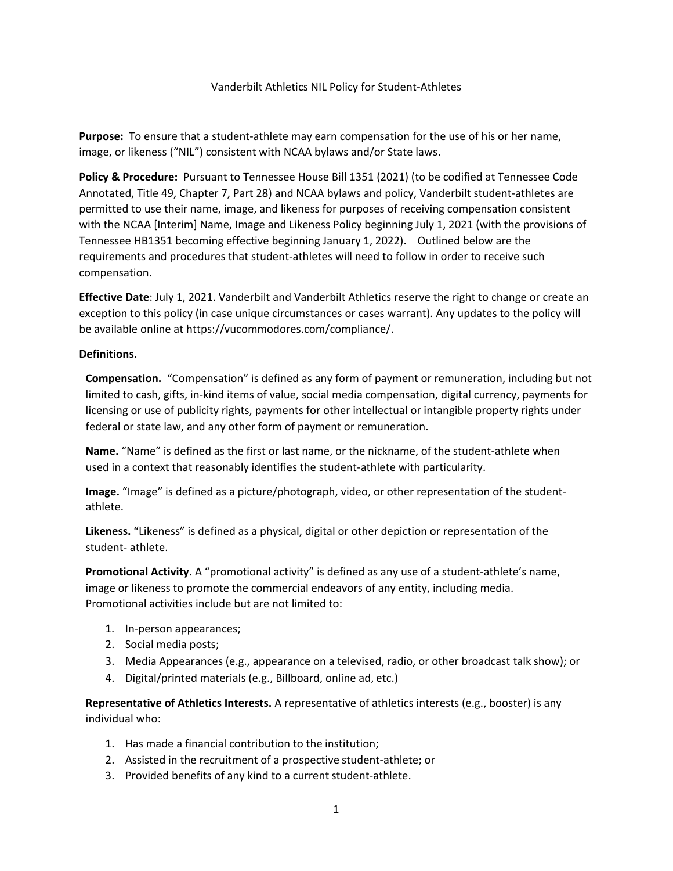## Vanderbilt Athletics NIL Policy for Student-Athletes

**Purpose:** To ensure that a student-athlete may earn compensation for the use of his or her name, image, or likeness ("NIL") consistent with NCAA bylaws and/or State laws.

**Policy & Procedure:** Pursuant to Tennessee House Bill 1351 (2021) (to be codified at Tennessee Code Annotated, Title 49, Chapter 7, Part 28) and NCAA bylaws and policy, Vanderbilt student-athletes are permitted to use their name, image, and likeness for purposes of receiving compensation consistent with the NCAA [Interim] Name, Image and Likeness Policy beginning July 1, 2021 (with the provisions of Tennessee HB1351 becoming effective beginning January 1, 2022). Outlined below are the requirements and procedures that student-athletes will need to follow in order to receive such compensation.

**Effective Date**: July 1, 2021. Vanderbilt and Vanderbilt Athletics reserve the right to change or create an exception to this policy (in case unique circumstances or cases warrant). Any updates to the policy will be available online at https://vucommodores.com/compliance/.

## **Definitions.**

**Compensation.** "Compensation" is defined as any form of payment or remuneration, including but not limited to cash, gifts, in-kind items of value, social media compensation, digital currency, payments for licensing or use of publicity rights, payments for other intellectual or intangible property rights under federal or state law, and any other form of payment or remuneration.

**Name.** "Name" is defined as the first or last name, or the nickname, of the student-athlete when used in a context that reasonably identifies the student-athlete with particularity.

**Image.** "Image" is defined as a picture/photograph, video, or other representation of the studentathlete.

**Likeness.** "Likeness" is defined as a physical, digital or other depiction or representation of the student- athlete.

**Promotional Activity.** A "promotional activity" is defined as any use of a student-athlete's name, image or likeness to promote the commercial endeavors of any entity, including media. Promotional activities include but are not limited to:

- 1. In-person appearances;
- 2. Social media posts;
- 3. Media Appearances (e.g., appearance on a televised, radio, or other broadcast talk show); or
- 4. Digital/printed materials (e.g., Billboard, online ad, etc.)

**Representative of Athletics Interests.** A representative of athletics interests (e.g., booster) is any individual who:

- 1. Has made a financial contribution to the institution;
- 2. Assisted in the recruitment of a prospective student-athlete; or
- 3. Provided benefits of any kind to a current student-athlete.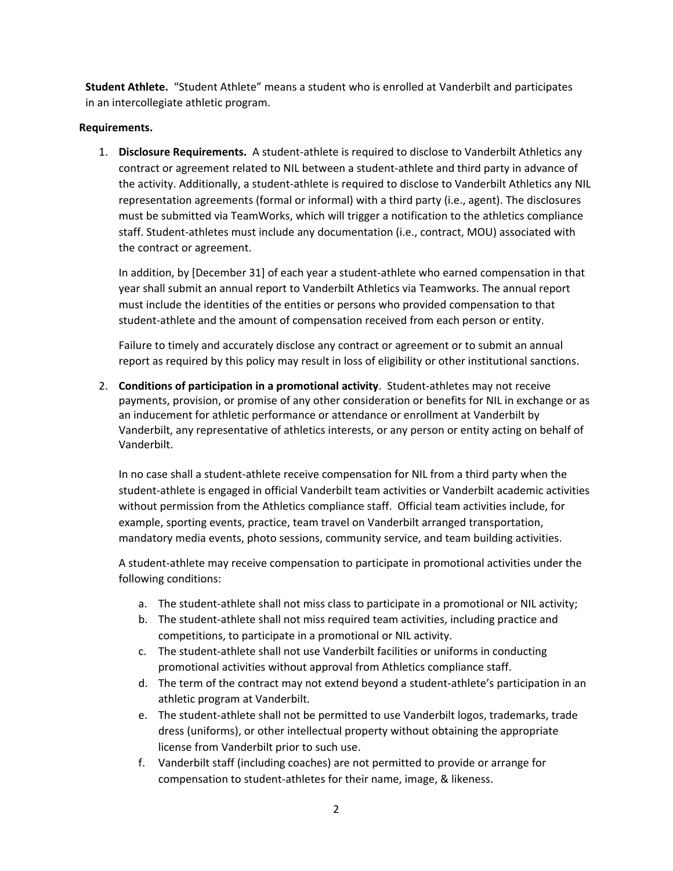**Student Athlete.** "Student Athlete" means a student who is enrolled at Vanderbilt and participates in an intercollegiate athletic program.

## **Requirements.**

1. **Disclosure Requirements.** A student-athlete is required to disclose to Vanderbilt Athletics any contract or agreement related to NIL between a student-athlete and third party in advance of the activity. Additionally, a student-athlete is required to disclose to Vanderbilt Athletics any NIL representation agreements (formal or informal) with a third party (i.e., agent). The disclosures must be submitted via TeamWorks, which will trigger a notification to the athletics compliance staff. Student-athletes must include any documentation (i.e., contract, MOU) associated with the contract or agreement.

In addition, by [December 31] of each year a student-athlete who earned compensation in that year shall submit an annual report to Vanderbilt Athletics via Teamworks. The annual report must include the identities of the entities or persons who provided compensation to that student-athlete and the amount of compensation received from each person or entity.

Failure to timely and accurately disclose any contract or agreement or to submit an annual report as required by this policy may result in loss of eligibility or other institutional sanctions.

2. **Conditions of participation in a promotional activity**. Student-athletes may not receive payments, provision, or promise of any other consideration or benefits for NIL in exchange or as an inducement for athletic performance or attendance or enrollment at Vanderbilt by Vanderbilt, any representative of athletics interests, or any person or entity acting on behalf of Vanderbilt.

In no case shall a student-athlete receive compensation for NIL from a third party when the student-athlete is engaged in official Vanderbilt team activities or Vanderbilt academic activities without permission from the Athletics compliance staff. Official team activities include, for example, sporting events, practice, team travel on Vanderbilt arranged transportation, mandatory media events, photo sessions, community service, and team building activities.

A student-athlete may receive compensation to participate in promotional activities under the following conditions:

- a. The student-athlete shall not miss class to participate in a promotional or NIL activity;
- b. The student-athlete shall not miss required team activities, including practice and competitions, to participate in a promotional or NIL activity.
- c. The student-athlete shall not use Vanderbilt facilities or uniforms in conducting promotional activities without approval from Athletics compliance staff.
- d. The term of the contract may not extend beyond a student-athlete's participation in an athletic program at Vanderbilt.
- e. The student-athlete shall not be permitted to use Vanderbilt logos, trademarks, trade dress (uniforms), or other intellectual property without obtaining the appropriate license from Vanderbilt prior to such use.
- f. Vanderbilt staff (including coaches) are not permitted to provide or arrange for compensation to student-athletes for their name, image, & likeness.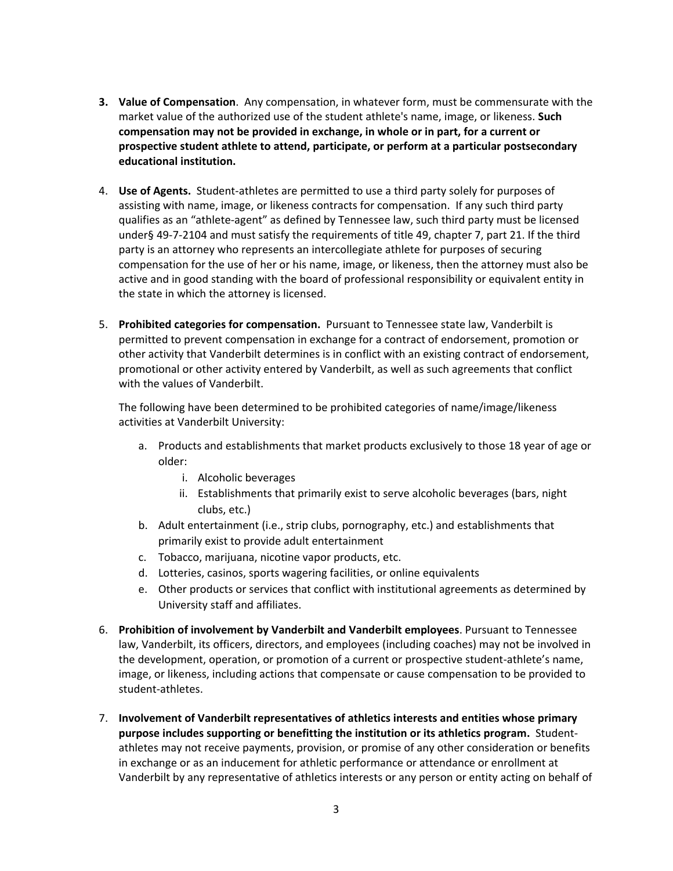- **3. Value of Compensation**. Any compensation, in whatever form, must be commensurate with the market value of the authorized use of the student athlete's name, image, or likeness. **Such compensation may not be provided in exchange, in whole or in part, for a current or prospective student athlete to attend, participate, or perform at a particular postsecondary educational institution.**
- 4. **Use of Agents.** Student-athletes are permitted to use a third party solely for purposes of assisting with name, image, or likeness contracts for compensation. If any such third party qualifies as an "athlete-agent" as defined by Tennessee law, such third party must be licensed under§ 49-7-2104 and must satisfy the requirements of title 49, chapter 7, part 21. If the third party is an attorney who represents an intercollegiate athlete for purposes of securing compensation for the use of her or his name, image, or likeness, then the attorney must also be active and in good standing with the board of professional responsibility or equivalent entity in the state in which the attorney is licensed.
- 5. **Prohibited categories for compensation.** Pursuant to Tennessee state law, Vanderbilt is permitted to prevent compensation in exchange for a contract of endorsement, promotion or other activity that Vanderbilt determines is in conflict with an existing contract of endorsement, promotional or other activity entered by Vanderbilt, as well as such agreements that conflict with the values of Vanderbilt.

The following have been determined to be prohibited categories of name/image/likeness activities at Vanderbilt University:

- a. Products and establishments that market products exclusively to those 18 year of age or older:
	- i. Alcoholic beverages
	- ii. Establishments that primarily exist to serve alcoholic beverages (bars, night clubs, etc.)
- b. Adult entertainment (i.e., strip clubs, pornography, etc.) and establishments that primarily exist to provide adult entertainment
- c. Tobacco, marijuana, nicotine vapor products, etc.
- d. Lotteries, casinos, sports wagering facilities, or online equivalents
- e. Other products or services that conflict with institutional agreements as determined by University staff and affiliates.
- 6. **Prohibition of involvement by Vanderbilt and Vanderbilt employees**. Pursuant to Tennessee law, Vanderbilt, its officers, directors, and employees (including coaches) may not be involved in the development, operation, or promotion of a current or prospective student-athlete's name, image, or likeness, including actions that compensate or cause compensation to be provided to student-athletes.
- 7. **Involvement of Vanderbilt representatives of athletics interests and entities whose primary purpose includes supporting or benefitting the institution or its athletics program.** Studentathletes may not receive payments, provision, or promise of any other consideration or benefits in exchange or as an inducement for athletic performance or attendance or enrollment at Vanderbilt by any representative of athletics interests or any person or entity acting on behalf of